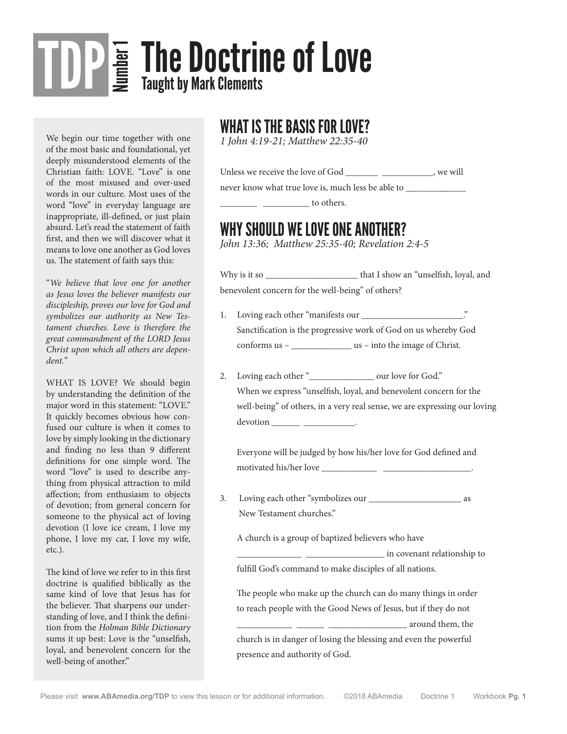# **The Doctrine of Love** TDP

We begin our time together with one of the most basic and foundational, yet deeply misunderstood elements of the Christian faith: LOVE. "Love" is one of the most misused and over-used words in our culture. Most uses of the word "love" in everyday language are inappropriate, ill-defined, or just plain absurd. Let's read the statement of faith first, and then we will discover what it means to love one another as God loves us. The statement of faith says this:

"*We believe that love one for another as Jesus loves the believer manifests our discipleship, proves our love for God and symbolizes our authority as New Testament churches. Love is therefore the great commandment of the LORD Jesus Christ upon which all others are dependent.*"

WHAT IS LOVE? We should begin by understanding the definition of the major word in this statement: "LOVE." It quickly becomes obvious how confused our culture is when it comes to love by simply looking in the dictionary and finding no less than 9 different definitions for one simple word. The word "love" is used to describe anything from physical attraction to mild affection; from enthusiasm to objects of devotion; from general concern for someone to the physical act of loving devotion (I love ice cream, I love my phone, I love my car, I love my wife, etc.).

The kind of love we refer to in this first doctrine is qualified biblically as the same kind of love that Jesus has for the believer. That sharpens our understanding of love, and I think the definition from the *Holman Bible Dictionary* sums it up best: Love is the "unselfish, loyal, and benevolent concern for the well-being of another."

#### WHAT IS THE BASIS FOR LOVE?

*1 John 4:19-21; Matthew 22:35-40*

| Unless we receive the love of God                  | , we will |
|----------------------------------------------------|-----------|
| never know what true love is, much less be able to |           |
| to others.                                         |           |

#### WHY SHOULD WE LOVE ONE ANOTHER?

*John 13:36; Matthew 25:35-40; Revelation 2:4-5*

Why is it so \_\_\_\_\_\_\_\_\_\_\_\_\_\_\_\_\_\_\_\_\_\_\_\_\_ that I show an "unselfish, loyal, and benevolent concern for the well-being" of others?

- 1. Loving each other "manifests our \_\_\_\_\_\_\_\_\_\_\_\_\_\_\_\_\_\_\_\_\_\_." Sanctification is the progressive work of God on us whereby God conforms us – \_\_\_\_\_\_\_\_\_\_\_\_\_ us – into the image of Christ.
- 2. Loving each other "\_\_\_\_\_\_\_\_\_\_\_\_\_\_ our love for God." When we express "unselfish, loyal, and benevolent concern for the well-being" of others, in a very real sense, we are expressing our loving devotion \_\_\_\_\_\_ \_\_\_\_\_\_\_\_\_\_\_.

 Everyone will be judged by how his/her love for God defined and motivated his/her love \_\_\_\_\_\_\_\_\_\_\_\_ \_\_\_\_\_\_\_\_\_\_\_\_\_\_\_\_\_\_\_.

3. Loving each other "symbolizes our \_\_\_\_\_\_\_\_\_\_\_\_\_\_\_\_\_\_\_\_ as New Testament churches."

A church is a group of baptized believers who have

 \_\_\_\_\_\_\_\_\_\_\_\_\_\_ \_\_\_\_\_\_\_\_\_\_\_\_\_\_\_\_\_ in covenant relationship to fulfill God's command to make disciples of all nations.

 The people who make up the church can do many things in order to reach people with the Good News of Jesus, but if they do not

 \_\_\_\_\_\_\_\_\_\_\_\_ \_\_\_\_\_\_ \_\_\_\_\_\_\_\_\_\_\_\_\_\_\_\_\_ around them, the church is in danger of losing the blessing and even the powerful presence and authority of God.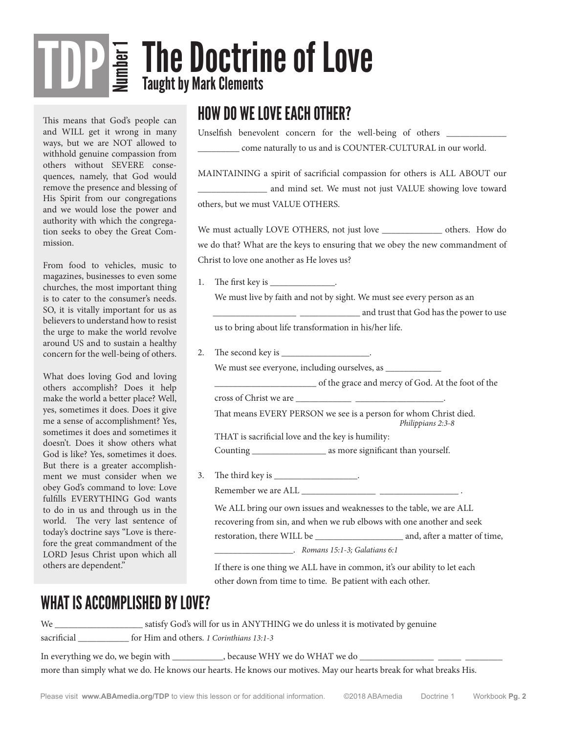# **The Doctrine of Love**<br>*E* Taught by Mark Clements TDP

This means that God's people can and WILL get it wrong in many ways, but we are NOT allowed to withhold genuine compassion from others without SEVERE consequences, namely, that God would remove the presence and blessing of His Spirit from our congregations and we would lose the power and authority with which the congregation seeks to obey the Great Commission.

From food to vehicles, music to magazines, businesses to even some churches, the most important thing is to cater to the consumer's needs. SO, it is vitally important for us as believers to understand how to resist the urge to make the world revolve around US and to sustain a healthy concern for the well-being of others.

What does loving God and loving others accomplish? Does it help make the world a better place? Well, yes, sometimes it does. Does it give me a sense of accomplishment? Yes, sometimes it does and sometimes it doesn't. Does it show others what God is like? Yes, sometimes it does. But there is a greater accomplishment we must consider when we obey God's command to love: Love fulfills EVERYTHING God wants to do in us and through us in the world. The very last sentence of today's doctrine says "Love is therefore the great commandment of the LORD Jesus Christ upon which all others are dependent."

### HOW DO WE LOVE EACH OTHER?

Unselfish benevolent concern for the well-being of others \_\_\_\_\_\_\_\_\_\_\_\_\_\_\_\_\_\_\_\_\_\_ \_\_\_\_\_\_\_\_\_ come naturally to us and is COUNTER-CULTURAL in our world.

MAINTAINING a spirit of sacrificial compassion for others is ALL ABOUT our \_\_\_\_\_\_\_\_\_\_\_\_\_\_\_ and mind set. We must not just VALUE showing love toward others, but we must VALUE OTHERS.

We must actually LOVE OTHERS, not just love \_\_\_\_\_\_\_\_\_\_\_\_\_\_\_\_ others. How do we do that? What are the keys to ensuring that we obey the new commandment of Christ to love one another as He loves us?

1. The first key is \_\_\_\_\_\_\_\_\_\_\_\_\_\_\_.

 We must live by faith and not by sight. We must see every person as an \_\_\_\_\_\_\_\_\_\_\_\_\_\_\_\_\_\_ \_\_\_\_\_\_\_\_\_\_\_\_\_ and trust that God has the power to use us to bring about life transformation in his/her life.

2. The second key is \_\_\_\_\_\_\_\_\_\_\_\_\_\_\_\_\_\_\_.

We must see everyone, including ourselves, as \_\_\_\_\_\_\_\_\_\_\_\_

\_\_\_\_\_\_\_\_\_\_\_\_\_\_\_\_\_\_\_\_\_\_ of the grace and mercy of God. At the foot of the

cross of Christ we are \_\_\_\_\_\_\_\_\_\_\_\_ \_\_\_\_\_\_\_\_\_\_\_\_\_\_\_\_\_\_\_.

 That means EVERY PERSON we see is a person for whom Christ died. *Philippians 2:3-8*

THAT is sacrificial love and the key is humility:

Counting \_\_\_\_\_\_\_\_\_\_\_\_\_\_\_\_ as more significant than yourself.

3. The third key is \_\_\_\_\_\_\_\_\_\_\_\_\_\_\_\_\_\_\_. Remember we are ALL

 We ALL bring our own issues and weaknesses to the table, we are ALL recovering from sin, and when we rub elbows with one another and seek restoration, there WILL be \_\_\_\_\_\_\_\_\_\_\_\_\_\_\_\_\_\_\_ and, after a matter of time,

\_\_\_\_\_\_\_\_\_\_\_\_\_\_\_\_\_. *Romans 15:1-3; Galatians 6:1*

 If there is one thing we ALL have in common, it's our ability to let each other down from time to time. Be patient with each other.

#### WHAT IS ACCOMPLISHED BY LOVE?

We \_\_\_\_\_\_\_\_\_\_\_\_\_\_\_\_\_\_\_\_\_\_\_\_\_\_ satisfy God's will for us in ANYTHING we do unless it is motivated by genuine sacrificial \_\_\_\_\_\_\_\_\_\_\_ for Him and others. *1 Corinthians 13:1-3*

In everything we do, we begin with \_\_\_\_\_\_\_\_\_\_\_\_, because WHY we do WHAT we do \_\_\_\_ more than simply what we do. He knows our hearts. He knows our motives. May our hearts break for what breaks His.